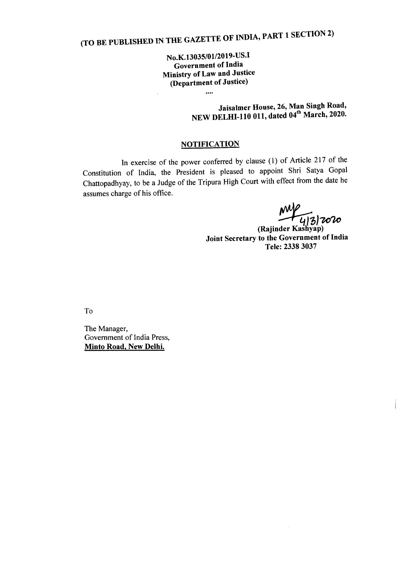## (TO BE PUBLISHED IN THE GAZETTE OF INDIA, PART 1 SECTION 2)

No.K.13035/01/2019-US.I Government of India Ministry of Law and Justice (Department of Justice)

 $\cdots$ 

Jaisalmer House, 26, Man Singh Road, NEW DELHI-110 011, dated 04" March, 2020.

## **NOTIFICATION**

In exercise of the power conferred by clause (l) of Article 217 of the Constitution of India, the President is pleased to appoint Shri Satya Gopal Chattopadhyay, to be a Judge of the Tripura High Court with effect from the date he assumes charge of his office.

*~O]'1C,",*

(Rajinder Kasliyap) Joint Secretary to the Government of India Tele: 23383037

 $\bar{z}$ 

To

The Manager, Government of India Press, Minto Road, New Delhi.